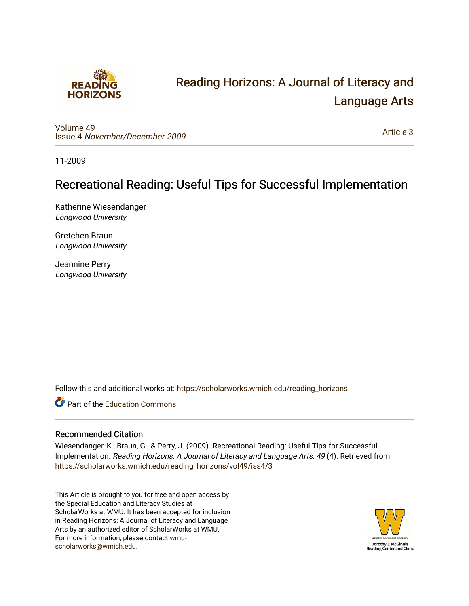

# [Reading Horizons: A Journal of Literacy and](https://scholarworks.wmich.edu/reading_horizons)  [Language Arts](https://scholarworks.wmich.edu/reading_horizons)

[Volume 49](https://scholarworks.wmich.edu/reading_horizons/vol49) Issue 4 [November/December 2009](https://scholarworks.wmich.edu/reading_horizons/vol49/iss4)

[Article 3](https://scholarworks.wmich.edu/reading_horizons/vol49/iss4/3) 

11-2009

# Recreational Reading: Useful Tips for Successful Implementation

Katherine Wiesendanger Longwood University

Gretchen Braun Longwood University

Jeannine Perry Longwood University

Follow this and additional works at: [https://scholarworks.wmich.edu/reading\\_horizons](https://scholarworks.wmich.edu/reading_horizons?utm_source=scholarworks.wmich.edu%2Freading_horizons%2Fvol49%2Fiss4%2F3&utm_medium=PDF&utm_campaign=PDFCoverPages)

**C** Part of the [Education Commons](http://network.bepress.com/hgg/discipline/784?utm_source=scholarworks.wmich.edu%2Freading_horizons%2Fvol49%2Fiss4%2F3&utm_medium=PDF&utm_campaign=PDFCoverPages)

# Recommended Citation

Wiesendanger, K., Braun, G., & Perry, J. (2009). Recreational Reading: Useful Tips for Successful Implementation. Reading Horizons: A Journal of Literacy and Language Arts, 49 (4). Retrieved from [https://scholarworks.wmich.edu/reading\\_horizons/vol49/iss4/3](https://scholarworks.wmich.edu/reading_horizons/vol49/iss4/3?utm_source=scholarworks.wmich.edu%2Freading_horizons%2Fvol49%2Fiss4%2F3&utm_medium=PDF&utm_campaign=PDFCoverPages) 

This Article is brought to you for free and open access by the Special Education and Literacy Studies at ScholarWorks at WMU. It has been accepted for inclusion in Reading Horizons: A Journal of Literacy and Language Arts by an authorized editor of ScholarWorks at WMU. For more information, please contact [wmu](mailto:wmu-scholarworks@wmich.edu)[scholarworks@wmich.edu.](mailto:wmu-scholarworks@wmich.edu)

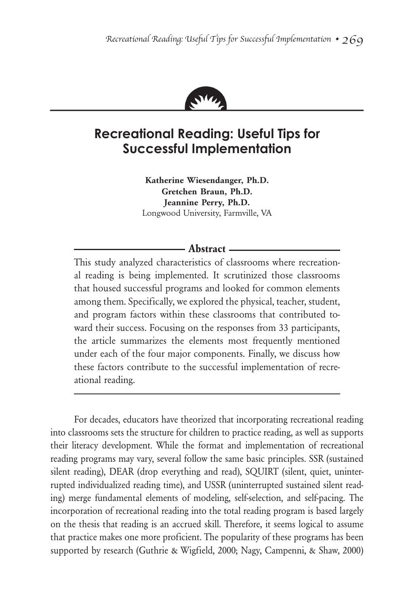

# **Recreational Reading: Useful Tips for Successful Implementation**

**Katherine Wiesendanger, Ph.D. Gretchen Braun, Ph.D. Jeannine Perry, Ph.D.** Longwood University, Farmville, VA

# **Abstract**

This study analyzed characteristics of classrooms where recreational reading is being implemented. It scrutinized those classrooms that housed successful programs and looked for common elements among them. Specifically, we explored the physical, teacher, student, and program factors within these classrooms that contributed toward their success. Focusing on the responses from 33 participants, the article summarizes the elements most frequently mentioned under each of the four major components. Finally, we discuss how these factors contribute to the successful implementation of recreational reading.

For decades, educators have theorized that incorporating recreational reading into classrooms sets the structure for children to practice reading, as well as supports their literacy development. While the format and implementation of recreational reading programs may vary, several follow the same basic principles. SSR (sustained silent reading), DEAR (drop everything and read), SQUIRT (silent, quiet, uninterrupted individualized reading time), and USSR (uninterrupted sustained silent reading) merge fundamental elements of modeling, self-selection, and self-pacing. The incorporation of recreational reading into the total reading program is based largely on the thesis that reading is an accrued skill. Therefore, it seems logical to assume that practice makes one more proficient. The popularity of these programs has been supported by research (Guthrie & Wigfield, 2000; Nagy, Campenni, & Shaw, 2000)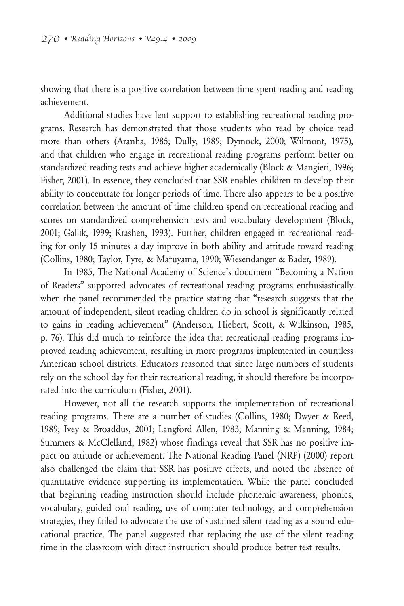showing that there is a positive correlation between time spent reading and reading achievement.

Additional studies have lent support to establishing recreational reading programs. Research has demonstrated that those students who read by choice read more than others (Aranha, 1985; Dully, 1989; Dymock, 2000; Wilmont, 1975), and that children who engage in recreational reading programs perform better on standardized reading tests and achieve higher academically (Block & Mangieri, 1996; Fisher, 2001). In essence, they concluded that SSR enables children to develop their ability to concentrate for longer periods of time. There also appears to be a positive correlation between the amount of time children spend on recreational reading and scores on standardized comprehension tests and vocabulary development (Block, 2001; Gallik, 1999; Krashen, 1993). Further, children engaged in recreational reading for only 15 minutes a day improve in both ability and attitude toward reading (Collins, 1980; Taylor, Fyre, & Maruyama, 1990; Wiesendanger & Bader, 1989).

In 1985, The National Academy of Science's document "Becoming a Nation of Readers" supported advocates of recreational reading programs enthusiastically when the panel recommended the practice stating that "research suggests that the amount of independent, silent reading children do in school is significantly related to gains in reading achievement" (Anderson, Hiebert, Scott, & Wilkinson, 1985, p. 76). This did much to reinforce the idea that recreational reading programs improved reading achievement, resulting in more programs implemented in countless American school districts. Educators reasoned that since large numbers of students rely on the school day for their recreational reading, it should therefore be incorporated into the curriculum (Fisher, 2001).

However, not all the research supports the implementation of recreational reading programs. There are a number of studies (Collins, 1980; Dwyer & Reed, 1989; Ivey & Broaddus, 2001; Langford Allen, 1983; Manning & Manning, 1984; Summers & McClelland, 1982) whose findings reveal that SSR has no positive impact on attitude or achievement. The National Reading Panel (NRP) (2000) report also challenged the claim that SSR has positive effects, and noted the absence of quantitative evidence supporting its implementation. While the panel concluded that beginning reading instruction should include phonemic awareness, phonics, vocabulary, guided oral reading, use of computer technology, and comprehension strategies, they failed to advocate the use of sustained silent reading as a sound educational practice. The panel suggested that replacing the use of the silent reading time in the classroom with direct instruction should produce better test results.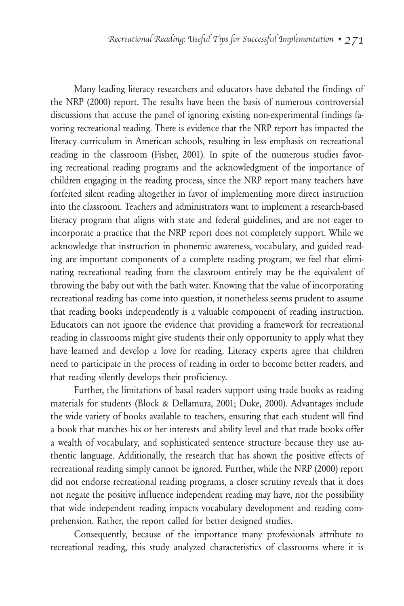Many leading literacy researchers and educators have debated the findings of the NRP (2000) report. The results have been the basis of numerous controversial discussions that accuse the panel of ignoring existing non-experimental findings favoring recreational reading. There is evidence that the NRP report has impacted the literacy curriculum in American schools, resulting in less emphasis on recreational reading in the classroom (Fisher, 2001). In spite of the numerous studies favoring recreational reading programs and the acknowledgment of the importance of children engaging in the reading process, since the NRP report many teachers have forfeited silent reading altogether in favor of implementing more direct instruction into the classroom. Teachers and administrators want to implement a research-based literacy program that aligns with state and federal guidelines, and are not eager to incorporate a practice that the NRP report does not completely support. While we acknowledge that instruction in phonemic awareness, vocabulary, and guided reading are important components of a complete reading program, we feel that eliminating recreational reading from the classroom entirely may be the equivalent of throwing the baby out with the bath water. Knowing that the value of incorporating recreational reading has come into question, it nonetheless seems prudent to assume that reading books independently is a valuable component of reading instruction. Educators can not ignore the evidence that providing a framework for recreational reading in classrooms might give students their only opportunity to apply what they have learned and develop a love for reading. Literacy experts agree that children need to participate in the process of reading in order to become better readers, and that reading silently develops their proficiency.

Further, the limitations of basal readers support using trade books as reading materials for students (Block & Dellamura, 2001; Duke, 2000). Advantages include the wide variety of books available to teachers, ensuring that each student will find a book that matches his or her interests and ability level and that trade books offer a wealth of vocabulary, and sophisticated sentence structure because they use authentic language. Additionally, the research that has shown the positive effects of recreational reading simply cannot be ignored. Further, while the NRP (2000) report did not endorse recreational reading programs, a closer scrutiny reveals that it does not negate the positive influence independent reading may have, nor the possibility that wide independent reading impacts vocabulary development and reading comprehension. Rather, the report called for better designed studies.

Consequently, because of the importance many professionals attribute to recreational reading, this study analyzed characteristics of classrooms where it is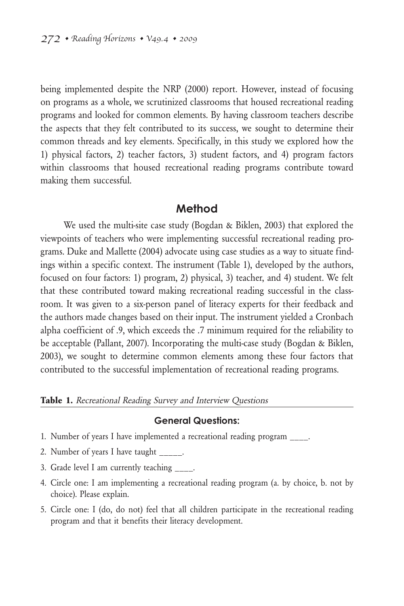being implemented despite the NRP (2000) report. However, instead of focusing on programs as a whole, we scrutinized classrooms that housed recreational reading programs and looked for common elements. By having classroom teachers describe the aspects that they felt contributed to its success, we sought to determine their common threads and key elements. Specifically, in this study we explored how the 1) physical factors, 2) teacher factors, 3) student factors, and 4) program factors within classrooms that housed recreational reading programs contribute toward making them successful.

#### **Method**

We used the multi-site case study (Bogdan & Biklen, 2003) that explored the viewpoints of teachers who were implementing successful recreational reading programs. Duke and Mallette (2004) advocate using case studies as a way to situate findings within a specific context. The instrument (Table 1), developed by the authors, focused on four factors: 1) program, 2) physical, 3) teacher, and 4) student. We felt that these contributed toward making recreational reading successful in the classroom. It was given to a six-person panel of literacy experts for their feedback and the authors made changes based on their input. The instrument yielded a Cronbach alpha coefficient of .9, which exceeds the .7 minimum required for the reliability to be acceptable (Pallant, 2007). Incorporating the multi-case study (Bogdan & Biklen, 2003), we sought to determine common elements among these four factors that contributed to the successful implementation of recreational reading programs.

#### **Table 1.** Recreational Reading Survey and Interview Questions

#### **General Questions:**

- 1. Number of years I have implemented a recreational reading program \_\_\_\_.
- 2. Number of years I have taught \_\_\_\_\_.
- 3. Grade level I am currently teaching \_\_\_\_.
- 4. Circle one: I am implementing a recreational reading program (a. by choice, b. not by choice). Please explain.
- 5. Circle one: I (do, do not) feel that all children participate in the recreational reading program and that it benefits their literacy development.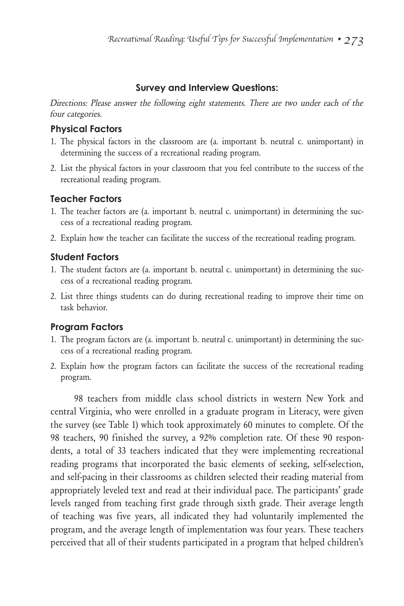# **Survey and Interview Questions:**

Directions: Please answer the following eight statements. There are two under each of the four categories.

# **Physical Factors**

- 1. The physical factors in the classroom are (a. important b. neutral c. unimportant) in determining the success of a recreational reading program.
- 2. List the physical factors in your classroom that you feel contribute to the success of the recreational reading program.

# **Teacher Factors**

- 1. The teacher factors are (a. important b. neutral c. unimportant) in determining the success of a recreational reading program.
- 2. Explain how the teacher can facilitate the success of the recreational reading program.

# **Student Factors**

- 1. The student factors are (a. important b. neutral c. unimportant) in determining the success of a recreational reading program.
- 2. List three things students can do during recreational reading to improve their time on task behavior.

# **Program Factors**

- 1. The program factors are (a. important b. neutral c. unimportant) in determining the success of a recreational reading program.
- 2. Explain how the program factors can facilitate the success of the recreational reading program.

98 teachers from middle class school districts in western New York and central Virginia, who were enrolled in a graduate program in Literacy, were given the survey (see Table 1) which took approximately 60 minutes to complete. Of the 98 teachers, 90 finished the survey, a 92% completion rate. Of these 90 respondents, a total of 33 teachers indicated that they were implementing recreational reading programs that incorporated the basic elements of seeking, self-selection, and self-pacing in their classrooms as children selected their reading material from appropriately leveled text and read at their individual pace. The participants' grade levels ranged from teaching first grade through sixth grade. Their average length of teaching was five years, all indicated they had voluntarily implemented the program, and the average length of implementation was four years. These teachers perceived that all of their students participated in a program that helped children's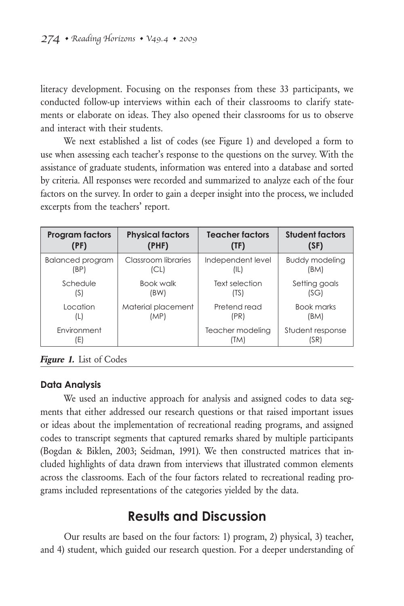literacy development. Focusing on the responses from these 33 participants, we conducted follow-up interviews within each of their classrooms to clarify statements or elaborate on ideas. They also opened their classrooms for us to observe and interact with their students.

We next established a list of codes (see Figure 1) and developed a form to use when assessing each teacher's response to the questions on the survey. With the assistance of graduate students, information was entered into a database and sorted by criteria. All responses were recorded and summarized to analyze each of the four factors on the survey. In order to gain a deeper insight into the process, we included excerpts from the teachers' report.

| <b>Program factors</b>  | <b>Physical factors</b> | <b>Teacher factors</b> | <b>Student factors</b> |
|-------------------------|-------------------------|------------------------|------------------------|
| (PF)                    | (PHF)                   | (TF)                   | (SF)                   |
| <b>Balanced program</b> | Classroom libraries     | Independent level      | <b>Buddy modeling</b>  |
| (BP)                    | (CL)                    | (IL)                   | (BM)                   |
| Schedule                | Book walk               | Text selection         | Setting goals          |
| (S)                     | (BW)                    | (TS)                   | (SG)                   |
| Location                | Material placement      | Pretend read           | <b>Book marks</b>      |
| (L)                     | (MP)                    | (PR)                   | (BM)                   |
| Environment             |                         | Teacher modeling       | Student response       |
| Ε                       |                         | (TM)                   | (SR)                   |

**Figure 1.** List of Codes

### **Data Analysis**

We used an inductive approach for analysis and assigned codes to data segments that either addressed our research questions or that raised important issues or ideas about the implementation of recreational reading programs, and assigned codes to transcript segments that captured remarks shared by multiple participants (Bogdan & Biklen, 2003; Seidman, 1991). We then constructed matrices that included highlights of data drawn from interviews that illustrated common elements across the classrooms. Each of the four factors related to recreational reading programs included representations of the categories yielded by the data.

# **Results and Discussion**

Our results are based on the four factors: 1) program, 2) physical, 3) teacher, and 4) student, which guided our research question. For a deeper understanding of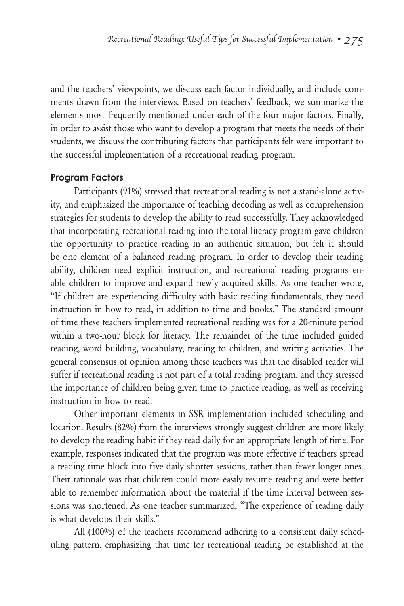and the teachers' viewpoints, we discuss each factor individually, and include comments drawn from the interviews. Based on teachers' feedback, we summarize the elements most frequently mentioned under each of the four major factors. Finally, in order to assist those who want to develop a program that meets the needs of their students, we discuss the contributing factors that participants felt were important to the successful implementation of a recreational reading program.

#### **Program Factors**

Participants (91%) stressed that recreational reading is not a stand-alone activity, and emphasized the importance of teaching decoding as well as comprehension strategies for students to develop the ability to read successfully. They acknowledged that incorporating recreational reading into the total literacy program gave children the opportunity to practice reading in an authentic situation, but felt it should be one element of a balanced reading program. In order to develop their reading ability, children need explicit instruction, and recreational reading programs enable children to improve and expand newly acquired skills. As one teacher wrote, "If children are experiencing difficulty with basic reading fundamentals, they need instruction in how to read, in addition to time and books." The standard amount of time these teachers implemented recreational reading was for a 20-minute period within a two-hour block for literacy. The remainder of the time included guided reading, word building, vocabulary, reading to children, and writing activities. The general consensus of opinion among these teachers was that the disabled reader will suffer if recreational reading is not part of a total reading program, and they stressed the importance of children being given time to practice reading, as well as receiving instruction in how to read.

Other important elements in SSR implementation included scheduling and location. Results (82%) from the interviews strongly suggest children are more likely to develop the reading habit if they read daily for an appropriate length of time. For example, responses indicated that the program was more effective if teachers spread a reading time block into five daily shorter sessions, rather than fewer longer ones. Their rationale was that children could more easily resume reading and were better able to remember information about the material if the time interval between sessions was shortened. As one teacher summarized, "The experience of reading daily is what develops their skills."

All (100%) of the teachers recommend adhering to a consistent daily scheduling pattern, emphasizing that time for recreational reading be established at the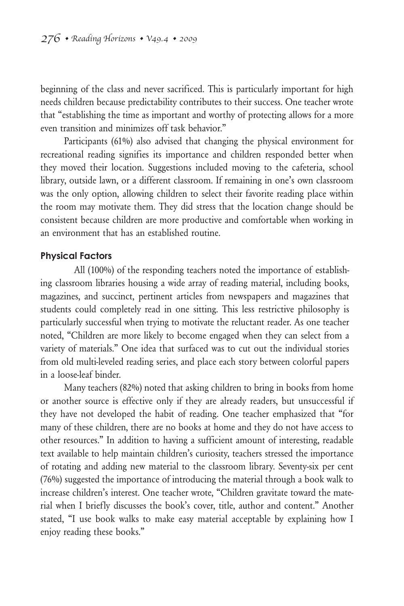beginning of the class and never sacrificed. This is particularly important for high needs children because predictability contributes to their success. One teacher wrote that "establishing the time as important and worthy of protecting allows for a more even transition and minimizes off task behavior."

Participants (61%) also advised that changing the physical environment for recreational reading signifies its importance and children responded better when they moved their location. Suggestions included moving to the cafeteria, school library, outside lawn, or a different classroom. If remaining in one's own classroom was the only option, allowing children to select their favorite reading place within the room may motivate them. They did stress that the location change should be consistent because children are more productive and comfortable when working in an environment that has an established routine.

#### **Physical Factors**

All (100%) of the responding teachers noted the importance of establishing classroom libraries housing a wide array of reading material, including books, magazines, and succinct, pertinent articles from newspapers and magazines that students could completely read in one sitting. This less restrictive philosophy is particularly successful when trying to motivate the reluctant reader. As one teacher noted, "Children are more likely to become engaged when they can select from a variety of materials." One idea that surfaced was to cut out the individual stories from old multi-leveled reading series, and place each story between colorful papers in a loose-leaf binder.

Many teachers (82%) noted that asking children to bring in books from home or another source is effective only if they are already readers, but unsuccessful if they have not developed the habit of reading. One teacher emphasized that "for many of these children, there are no books at home and they do not have access to other resources." In addition to having a sufficient amount of interesting, readable text available to help maintain children's curiosity, teachers stressed the importance of rotating and adding new material to the classroom library. Seventy-six per cent (76%) suggested the importance of introducing the material through a book walk to increase children's interest. One teacher wrote, "Children gravitate toward the material when I briefly discusses the book's cover, title, author and content." Another stated, "I use book walks to make easy material acceptable by explaining how I enjoy reading these books."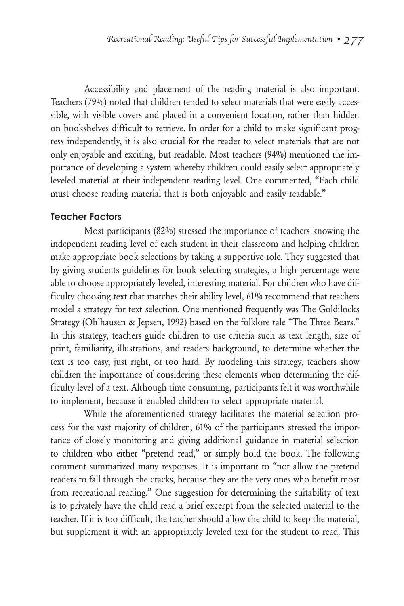Accessibility and placement of the reading material is also important. Teachers (79%) noted that children tended to select materials that were easily accessible, with visible covers and placed in a convenient location, rather than hidden on bookshelves difficult to retrieve. In order for a child to make significant progress independently, it is also crucial for the reader to select materials that are not only enjoyable and exciting, but readable. Most teachers (94%) mentioned the importance of developing a system whereby children could easily select appropriately leveled material at their independent reading level. One commented, "Each child must choose reading material that is both enjoyable and easily readable."

#### **Teacher Factors**

Most participants (82%) stressed the importance of teachers knowing the independent reading level of each student in their classroom and helping children make appropriate book selections by taking a supportive role. They suggested that by giving students guidelines for book selecting strategies, a high percentage were able to choose appropriately leveled, interesting material. For children who have difficulty choosing text that matches their ability level, 61% recommend that teachers model a strategy for text selection. One mentioned frequently was The Goldilocks Strategy (Ohlhausen & Jepsen, 1992) based on the folklore tale "The Three Bears." In this strategy, teachers guide children to use criteria such as text length, size of print, familiarity, illustrations, and readers background, to determine whether the text is too easy, just right, or too hard. By modeling this strategy, teachers show children the importance of considering these elements when determining the difficulty level of a text. Although time consuming, participants felt it was worthwhile to implement, because it enabled children to select appropriate material.

While the aforementioned strategy facilitates the material selection process for the vast majority of children, 61% of the participants stressed the importance of closely monitoring and giving additional guidance in material selection to children who either "pretend read," or simply hold the book. The following comment summarized many responses. It is important to "not allow the pretend readers to fall through the cracks, because they are the very ones who benefit most from recreational reading." One suggestion for determining the suitability of text is to privately have the child read a brief excerpt from the selected material to the teacher. If it is too difficult, the teacher should allow the child to keep the material, but supplement it with an appropriately leveled text for the student to read. This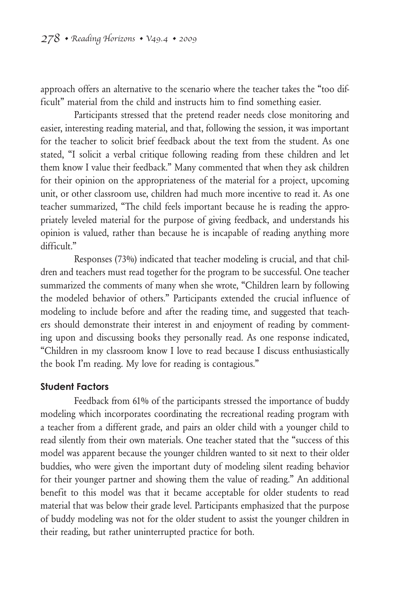approach offers an alternative to the scenario where the teacher takes the "too difficult" material from the child and instructs him to find something easier.

Participants stressed that the pretend reader needs close monitoring and easier, interesting reading material, and that, following the session, it was important for the teacher to solicit brief feedback about the text from the student. As one stated, "I solicit a verbal critique following reading from these children and let them know I value their feedback." Many commented that when they ask children for their opinion on the appropriateness of the material for a project, upcoming unit, or other classroom use, children had much more incentive to read it. As one teacher summarized, "The child feels important because he is reading the appropriately leveled material for the purpose of giving feedback, and understands his opinion is valued, rather than because he is incapable of reading anything more difficult."

Responses (73%) indicated that teacher modeling is crucial, and that children and teachers must read together for the program to be successful. One teacher summarized the comments of many when she wrote, "Children learn by following the modeled behavior of others." Participants extended the crucial influence of modeling to include before and after the reading time, and suggested that teachers should demonstrate their interest in and enjoyment of reading by commenting upon and discussing books they personally read. As one response indicated, "Children in my classroom know I love to read because I discuss enthusiastically the book I'm reading. My love for reading is contagious."

### **Student Factors**

Feedback from 61% of the participants stressed the importance of buddy modeling which incorporates coordinating the recreational reading program with a teacher from a different grade, and pairs an older child with a younger child to read silently from their own materials. One teacher stated that the "success of this model was apparent because the younger children wanted to sit next to their older buddies, who were given the important duty of modeling silent reading behavior for their younger partner and showing them the value of reading." An additional benefit to this model was that it became acceptable for older students to read material that was below their grade level. Participants emphasized that the purpose of buddy modeling was not for the older student to assist the younger children in their reading, but rather uninterrupted practice for both.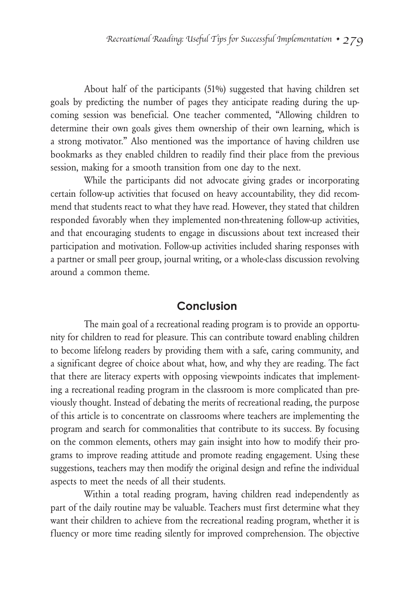About half of the participants (51%) suggested that having children set goals by predicting the number of pages they anticipate reading during the upcoming session was beneficial. One teacher commented, "Allowing children to determine their own goals gives them ownership of their own learning, which is a strong motivator." Also mentioned was the importance of having children use bookmarks as they enabled children to readily find their place from the previous session, making for a smooth transition from one day to the next.

While the participants did not advocate giving grades or incorporating certain follow-up activities that focused on heavy accountability, they did recommend that students react to what they have read. However, they stated that children responded favorably when they implemented non-threatening follow-up activities, and that encouraging students to engage in discussions about text increased their participation and motivation. Follow-up activities included sharing responses with a partner or small peer group, journal writing, or a whole-class discussion revolving around a common theme.

# **Conclusion**

The main goal of a recreational reading program is to provide an opportunity for children to read for pleasure. This can contribute toward enabling children to become lifelong readers by providing them with a safe, caring community, and a significant degree of choice about what, how, and why they are reading. The fact that there are literacy experts with opposing viewpoints indicates that implementing a recreational reading program in the classroom is more complicated than previously thought. Instead of debating the merits of recreational reading, the purpose of this article is to concentrate on classrooms where teachers are implementing the program and search for commonalities that contribute to its success. By focusing on the common elements, others may gain insight into how to modify their programs to improve reading attitude and promote reading engagement. Using these suggestions, teachers may then modify the original design and refine the individual aspects to meet the needs of all their students.

Within a total reading program, having children read independently as part of the daily routine may be valuable. Teachers must first determine what they want their children to achieve from the recreational reading program, whether it is fluency or more time reading silently for improved comprehension. The objective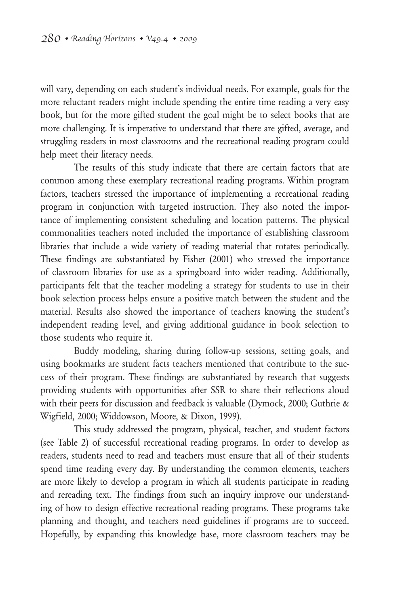will vary, depending on each student's individual needs. For example, goals for the more reluctant readers might include spending the entire time reading a very easy book, but for the more gifted student the goal might be to select books that are more challenging. It is imperative to understand that there are gifted, average, and struggling readers in most classrooms and the recreational reading program could help meet their literacy needs.

The results of this study indicate that there are certain factors that are common among these exemplary recreational reading programs. Within program factors, teachers stressed the importance of implementing a recreational reading program in conjunction with targeted instruction. They also noted the importance of implementing consistent scheduling and location patterns. The physical commonalities teachers noted included the importance of establishing classroom libraries that include a wide variety of reading material that rotates periodically. These findings are substantiated by Fisher (2001) who stressed the importance of classroom libraries for use as a springboard into wider reading. Additionally, participants felt that the teacher modeling a strategy for students to use in their book selection process helps ensure a positive match between the student and the material. Results also showed the importance of teachers knowing the student's independent reading level, and giving additional guidance in book selection to those students who require it.

Buddy modeling, sharing during follow-up sessions, setting goals, and using bookmarks are student facts teachers mentioned that contribute to the success of their program. These findings are substantiated by research that suggests providing students with opportunities after SSR to share their reflections aloud with their peers for discussion and feedback is valuable (Dymock, 2000; Guthrie & Wigfield, 2000; Widdowson, Moore, & Dixon, 1999).

This study addressed the program, physical, teacher, and student factors (see Table 2) of successful recreational reading programs. In order to develop as readers, students need to read and teachers must ensure that all of their students spend time reading every day. By understanding the common elements, teachers are more likely to develop a program in which all students participate in reading and rereading text. The findings from such an inquiry improve our understanding of how to design effective recreational reading programs. These programs take planning and thought, and teachers need guidelines if programs are to succeed. Hopefully, by expanding this knowledge base, more classroom teachers may be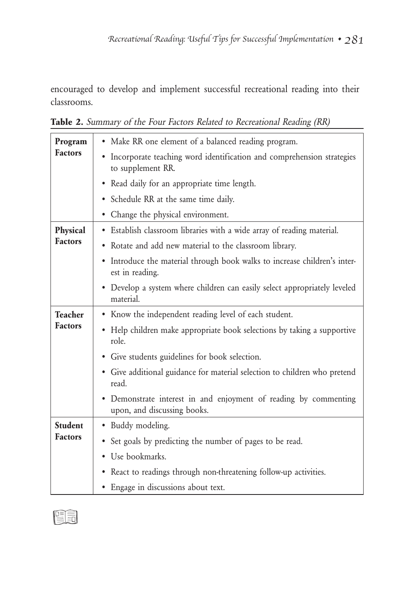encouraged to develop and implement successful recreational reading into their classrooms.

| Program                          | • Make RR one element of a balanced reading program.                                            |  |  |
|----------------------------------|-------------------------------------------------------------------------------------------------|--|--|
| <b>Factors</b>                   | • Incorporate teaching word identification and comprehension strategies<br>to supplement RR.    |  |  |
|                                  | • Read daily for an appropriate time length.                                                    |  |  |
|                                  | • Schedule RR at the same time daily.                                                           |  |  |
|                                  | • Change the physical environment.                                                              |  |  |
| Physical<br><b>Factors</b>       | • Establish classroom libraries with a wide array of reading material.                          |  |  |
|                                  | • Rotate and add new material to the classroom library.                                         |  |  |
|                                  | • Introduce the material through book walks to increase children's inter-<br>est in reading.    |  |  |
|                                  | • Develop a system where children can easily select appropriately leveled<br>material.          |  |  |
| <b>Teacher</b><br><b>Factors</b> | • Know the independent reading level of each student.                                           |  |  |
|                                  | • Help children make appropriate book selections by taking a supportive<br>role.                |  |  |
|                                  | • Give students guidelines for book selection.                                                  |  |  |
|                                  | · Give additional guidance for material selection to children who pretend<br>read.              |  |  |
|                                  | • Demonstrate interest in and enjoyment of reading by commenting<br>upon, and discussing books. |  |  |
| <b>Student</b><br><b>Factors</b> | · Buddy modeling.                                                                               |  |  |
|                                  | • Set goals by predicting the number of pages to be read.                                       |  |  |
|                                  | • Use bookmarks.                                                                                |  |  |
|                                  | • React to readings through non-threatening follow-up activities.                               |  |  |
|                                  | • Engage in discussions about text.                                                             |  |  |

**Table 2.** Summary of the Four Factors Related to Recreational Reading (RR)

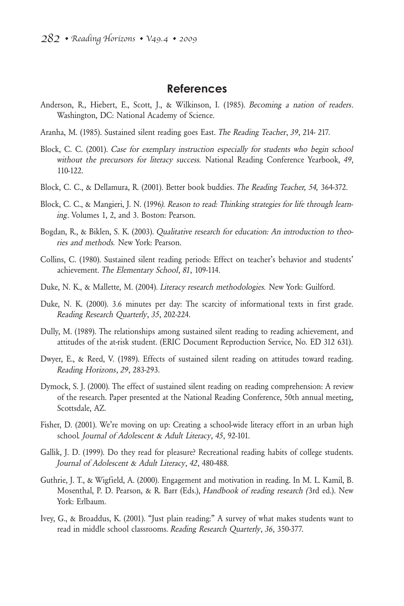### **References**

- Anderson, R., Hiebert, E., Scott, J., & Wilkinson, I. (1985). Becoming a nation of readers. Washington, DC: National Academy of Science.
- Aranha, M. (1985). Sustained silent reading goes East. The Reading Teacher, 39, 214- 217.
- Block, C. C. (2001). Case for exemplary instruction especially for students who begin school without the precursors for literacy success. National Reading Conference Yearbook, 49, 110-122.
- Block, C. C., & Dellamura, R. (2001). Better book buddies. The Reading Teacher, 54, 364-372.
- Block, C. C., & Mangieri, J. N. (1996). Reason to read: Thinking strategies for life through learning. Volumes 1, 2, and 3. Boston: Pearson.
- Bogdan, R., & Biklen, S. K. (2003). Qualitative research for education: An introduction to theories and methods. New York: Pearson.
- Collins, C. (1980). Sustained silent reading periods: Effect on teacher's behavior and students' achievement. The Elementary School, 81, 109-114.
- Duke, N. K., & Mallette, M. (2004). Literacy research methodologies. New York: Guilford.
- Duke, N. K. (2000). 3.6 minutes per day: The scarcity of informational texts in first grade. Reading Research Quarterly, 35, 202-224.
- Dully, M. (1989). The relationships among sustained silent reading to reading achievement, and attitudes of the at-risk student. (ERIC Document Reproduction Service, No. ED 312 631).
- Dwyer, E., & Reed, V. (1989). Effects of sustained silent reading on attitudes toward reading. Reading Horizons, 29, 283-293.
- Dymock, S. J. (2000). The effect of sustained silent reading on reading comprehension: A review of the research. Paper presented at the National Reading Conference, 50th annual meeting, Scottsdale, AZ.
- Fisher, D. (2001). We're moving on up: Creating a school-wide literacy effort in an urban high school. Journal of Adolescent & Adult Literacy, 45, 92-101.
- Gallik, J. D. (1999). Do they read for pleasure? Recreational reading habits of college students. Journal of Adolescent & Adult Literacy, 42, 480-488.
- Guthrie, J. T., & Wigfield, A. (2000). Engagement and motivation in reading. In M. L. Kamil, B. Mosenthal, P. D. Pearson, & R. Barr (Eds.), Handbook of reading research (3rd ed.). New York: Erlbaum.
- Ivey, G., & Broaddus, K. (2001). "Just plain reading:" A survey of what makes students want to read in middle school classrooms. Reading Research Quarterly, 36, 350-377.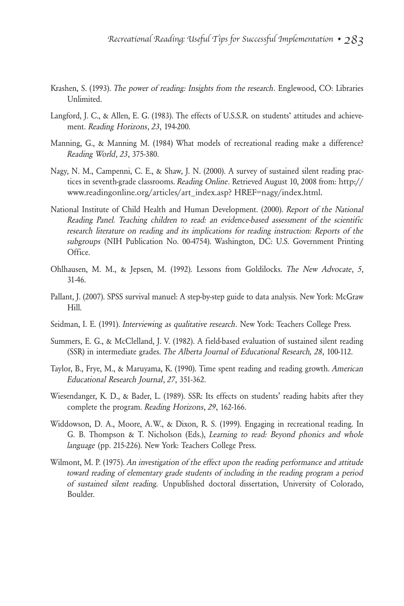- Krashen, S. (1993). The power of reading: Insights from the research. Englewood, CO: Libraries Unlimited.
- Langford, J. C., & Allen, E. G. (1983). The effects of U.S.S.R. on students' attitudes and achievement. Reading Horizons, 23, 194-200.
- Manning, G., & Manning M. (1984) What models of recreational reading make a difference? Reading World, 23, 375-380.
- Nagy, N. M., Campenni, C. E., & Shaw, J. N. (2000). A survey of sustained silent reading practices in seventh-grade classrooms. Reading Online. Retrieved August 10, 2008 from: http:// www.readingonline.org/articles/art\_index.asp? HREF=nagy/index.html.
- National Institute of Child Health and Human Development. (2000). Report of the National Reading Panel. Teaching children to read: an evidence-based assessment of the scientific research literature on reading and its implications for reading instruction: Reports of the subgroups (NIH Publication No. 00-4754). Washington, DC: U.S. Government Printing Office.
- Ohlhausen, M. M., & Jepsen, M. (1992). Lessons from Goldilocks. The New Advocate, 5, 31-46.
- Pallant, J. (2007). SPSS survival manuel: A step-by-step guide to data analysis. New York: McGraw Hill.
- Seidman, I. E. (1991). *Interviewing as qualitative research*. New York: Teachers College Press.
- Summers, E. G., & McClelland, J. V. (1982). A field-based evaluation of sustained silent reading (SSR) in intermediate grades. The Alberta Journal of Educational Research, 28, 100-112.
- Taylor, B., Frye, M., & Maruyama, K. (1990). Time spent reading and reading growth. American Educational Research Journal, 27, 351-362.
- Wiesendanger, K. D., & Bader, L. (1989). SSR: Its effects on students' reading habits after they complete the program. Reading Horizons, 29, 162-166.
- Widdowson, D. A., Moore, A.W., & Dixon, R. S. (1999). Engaging in recreational reading. In G. B. Thompson & T. Nicholson (Eds.), Learning to read: Beyond phonics and whole language (pp. 215-226). New York: Teachers College Press.
- Wilmont, M. P. (1975). An investigation of the effect upon the reading performance and attitude toward reading of elementary grade students of including in the reading program a period of sustained silent reading. Unpublished doctoral dissertation, University of Colorado, Boulder.